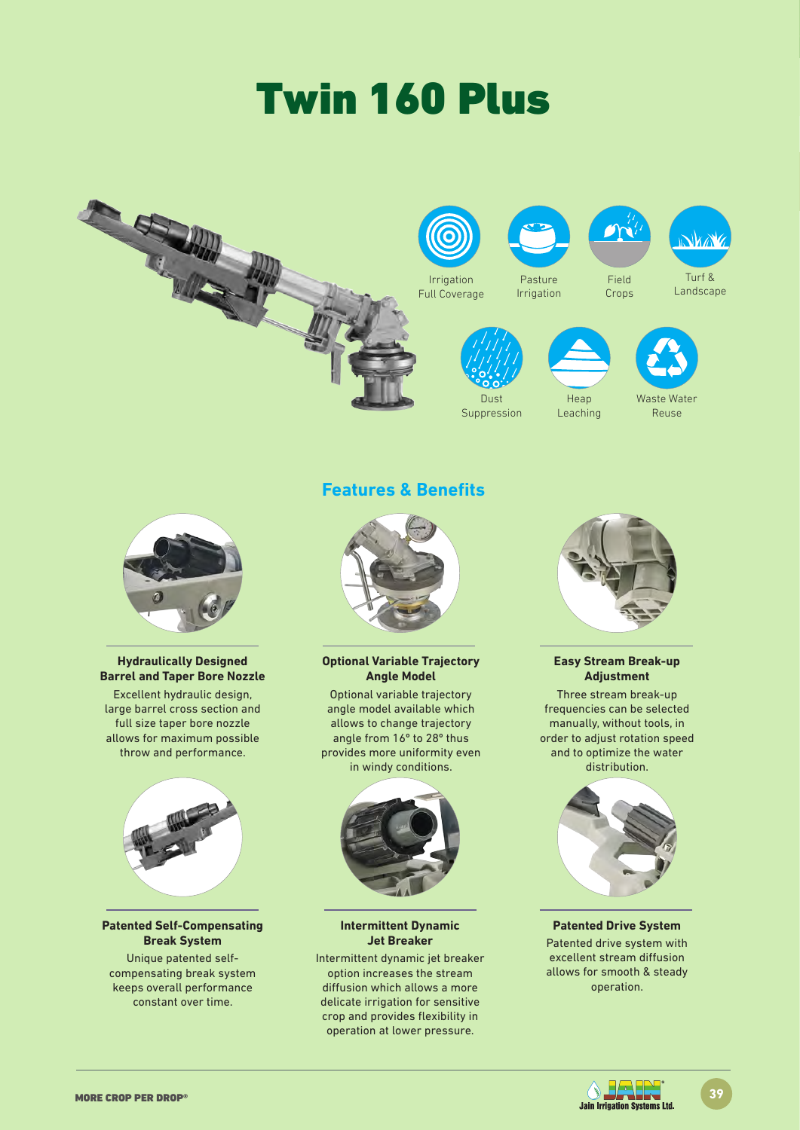# Twin 160 Plus





#### **Hydraulically Designed Barrel and Taper Bore Nozzle**

Excellent hydraulic design, large barrel cross section and full size taper bore nozzle allows for maximum possible throw and performance.



#### **Patented Self-Compensating Break System**

Unique patented selfcompensating break system keeps overall performance constant over time.

## **Features & Benefits**



**Optional Variable Trajectory Angle Model** 

Optional variable trajectory angle model available which allows to change trajectory angle from 16º to 28º thus provides more uniformity even in windy conditions.



**Intermittent Dynamic Jet Breaker**

Intermittent dynamic jet breaker option increases the stream diffusion which allows a more delicate irrigation for sensitive crop and provides flexibility in operation at lower pressure.



### **Easy Stream Break-up Adjustment**

Three stream break-up frequencies can be selected manually, without tools, in order to adjust rotation speed and to optimize the water distribution.



#### **Patented Drive System** Patented drive system with excellent stream diffusion allows for smooth & steady operation.